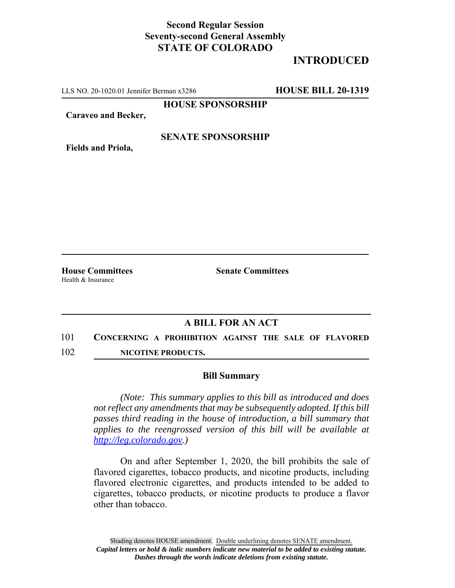## **Second Regular Session Seventy-second General Assembly STATE OF COLORADO**

# **INTRODUCED**

LLS NO. 20-1020.01 Jennifer Berman x3286 **HOUSE BILL 20-1319**

**HOUSE SPONSORSHIP**

**Caraveo and Becker,**

#### **SENATE SPONSORSHIP**

**Fields and Priola,**

Health & Insurance

**House Committees Senate Committees** 

### **A BILL FOR AN ACT**

- 101 **CONCERNING A PROHIBITION AGAINST THE SALE OF FLAVORED**
- 102 **NICOTINE PRODUCTS.**

#### **Bill Summary**

*(Note: This summary applies to this bill as introduced and does not reflect any amendments that may be subsequently adopted. If this bill passes third reading in the house of introduction, a bill summary that applies to the reengrossed version of this bill will be available at http://leg.colorado.gov.)*

On and after September 1, 2020, the bill prohibits the sale of flavored cigarettes, tobacco products, and nicotine products, including flavored electronic cigarettes, and products intended to be added to cigarettes, tobacco products, or nicotine products to produce a flavor other than tobacco.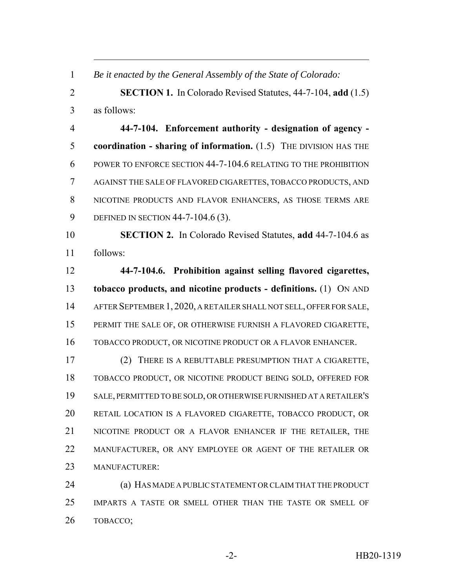*Be it enacted by the General Assembly of the State of Colorado:*

 **SECTION 1.** In Colorado Revised Statutes, 44-7-104, **add** (1.5) as follows:

 **44-7-104. Enforcement authority - designation of agency - coordination - sharing of information.** (1.5) THE DIVISION HAS THE POWER TO ENFORCE SECTION 44-7-104.6 RELATING TO THE PROHIBITION AGAINST THE SALE OF FLAVORED CIGARETTES, TOBACCO PRODUCTS, AND NICOTINE PRODUCTS AND FLAVOR ENHANCERS, AS THOSE TERMS ARE DEFINED IN SECTION 44-7-104.6 (3).

 **SECTION 2.** In Colorado Revised Statutes, **add** 44-7-104.6 as follows:

 **44-7-104.6. Prohibition against selling flavored cigarettes, tobacco products, and nicotine products - definitions.** (1) ON AND AFTER SEPTEMBER 1, 2020, A RETAILER SHALL NOT SELL, OFFER FOR SALE, PERMIT THE SALE OF, OR OTHERWISE FURNISH A FLAVORED CIGARETTE, TOBACCO PRODUCT, OR NICOTINE PRODUCT OR A FLAVOR ENHANCER.

 (2) THERE IS A REBUTTABLE PRESUMPTION THAT A CIGARETTE, TOBACCO PRODUCT, OR NICOTINE PRODUCT BEING SOLD, OFFERED FOR SALE, PERMITTED TO BE SOLD, OR OTHERWISE FURNISHED AT A RETAILER'S RETAIL LOCATION IS A FLAVORED CIGARETTE, TOBACCO PRODUCT, OR NICOTINE PRODUCT OR A FLAVOR ENHANCER IF THE RETAILER, THE MANUFACTURER, OR ANY EMPLOYEE OR AGENT OF THE RETAILER OR MANUFACTURER:

 (a) HAS MADE A PUBLIC STATEMENT OR CLAIM THAT THE PRODUCT IMPARTS A TASTE OR SMELL OTHER THAN THE TASTE OR SMELL OF TOBACCO;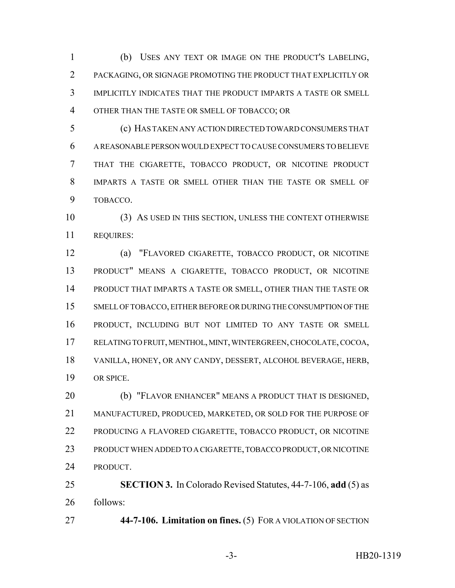(b) USES ANY TEXT OR IMAGE ON THE PRODUCT'S LABELING, PACKAGING, OR SIGNAGE PROMOTING THE PRODUCT THAT EXPLICITLY OR IMPLICITLY INDICATES THAT THE PRODUCT IMPARTS A TASTE OR SMELL OTHER THAN THE TASTE OR SMELL OF TOBACCO; OR

 (c) HAS TAKEN ANY ACTION DIRECTED TOWARD CONSUMERS THAT A REASONABLE PERSON WOULD EXPECT TO CAUSE CONSUMERS TO BELIEVE THAT THE CIGARETTE, TOBACCO PRODUCT, OR NICOTINE PRODUCT IMPARTS A TASTE OR SMELL OTHER THAN THE TASTE OR SMELL OF TOBACCO.

 (3) AS USED IN THIS SECTION, UNLESS THE CONTEXT OTHERWISE REQUIRES:

 (a) "FLAVORED CIGARETTE, TOBACCO PRODUCT, OR NICOTINE PRODUCT" MEANS A CIGARETTE, TOBACCO PRODUCT, OR NICOTINE PRODUCT THAT IMPARTS A TASTE OR SMELL, OTHER THAN THE TASTE OR SMELL OF TOBACCO, EITHER BEFORE OR DURING THE CONSUMPTION OF THE PRODUCT, INCLUDING BUT NOT LIMITED TO ANY TASTE OR SMELL RELATING TO FRUIT, MENTHOL, MINT, WINTERGREEN, CHOCOLATE, COCOA, VANILLA, HONEY, OR ANY CANDY, DESSERT, ALCOHOL BEVERAGE, HERB, OR SPICE.

 (b) "FLAVOR ENHANCER" MEANS A PRODUCT THAT IS DESIGNED, MANUFACTURED, PRODUCED, MARKETED, OR SOLD FOR THE PURPOSE OF PRODUCING A FLAVORED CIGARETTE, TOBACCO PRODUCT, OR NICOTINE PRODUCT WHEN ADDED TO A CIGARETTE, TOBACCO PRODUCT, OR NICOTINE PRODUCT.

 **SECTION 3.** In Colorado Revised Statutes, 44-7-106, **add** (5) as follows:

**44-7-106. Limitation on fines.** (5) FOR A VIOLATION OF SECTION